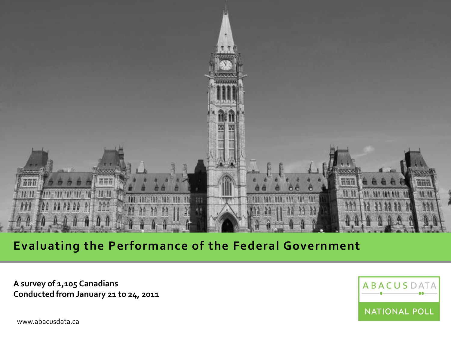

## **Evaluating the Performance of the Federal Government**

**A survey of 1,105 Canadians Conducted from January 21 to 24, 2011** **ABACUSD** NATIONAL POLL

www.abacusdata.ca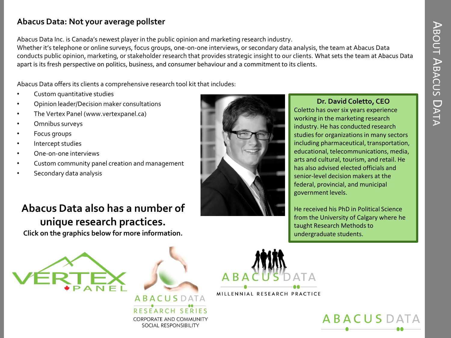## **Abacus Data: Not your average pollster**

Abacus Data Inc. is Canada's newest player in the public opinion and marketing research industry.

Whether it's telephone or online surveys, focus groups, one-on-one interviews, or secondary data analysis, the team at Abacus Data conducts public opinion, marketing, or stakeholder research that provides strategic insight to our clients. What sets the team at Abacus Data apart is its fresh perspective on politics, business, and consumer behaviour and a commitment to its clients.

Abacus Data offers its clients a comprehensive research tool kit that includes:

- Custom quantitative studies
- Opinion leader/Decision maker consultations
- The Vertex Panel (www.vertexpanel.ca)
- Omnibus surveys
- Focus groups
- Intercept studies
- One-on-one interviews
- Custom community panel creation and management
- Secondary data analysis

# **Abacus Data also has a number of unique research practices.**

**Click on the graphics below for more information.**







#### **Dr. David Coletto, CEO** Coletto has over six years experience

working in the marketing research industry. He has conducted research studies for organizations in many sectors including pharmaceutical, transportation, educational, telecommunications, media, arts and cultural, tourism, and retail. He has also advised elected officials and senior-level decision makers at the federal, provincial, and municipal government levels.

He received his PhD in Political Science from the University of Calgary where he taught Research Methods to undergraduate students.



MILLENNIAL RESEARCH PRACTICE

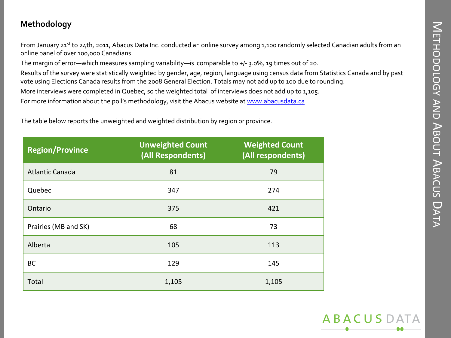### **Methodology**

From January 21<sup>st</sup> to 24th, 2011, Abacus Data Inc. conducted an online survey among 1,100 randomly selected Canadian adults from an online panel of over 100,000 Canadians.

The margin of error—which measures sampling variability—is comparable to +/- 3.0%, 19 times out of 20.

Results of the survey were statistically weighted by gender, age, region, language using census data from Statistics Canada and by past vote using Elections Canada results from the 2008 General Election. Totals may not add up to 100 due to rounding.

More interviews were completed in Quebec, so the weighted total of interviews does not add up to 1,105.

For more information about the poll's methodology, visit the Abacus website at [www.abacusdata.ca](http://www.abacusdata.ca/)

The table below reports the unweighted and weighted distribution by region or province.

| <b>Region/Province</b> | <b>Unweighted Count</b><br>(All Respondents) | <b>Weighted Count</b><br>(All respondents) |
|------------------------|----------------------------------------------|--------------------------------------------|
| <b>Atlantic Canada</b> | 81                                           | 79                                         |
| Quebec                 | 347                                          | 274                                        |
| Ontario                | 375                                          | 421                                        |
| Prairies (MB and SK)   | 68                                           | 73                                         |
| Alberta                | 105                                          | 113                                        |
| BC                     | 129                                          | 145                                        |
| Total                  | 1,105                                        | 1,105                                      |

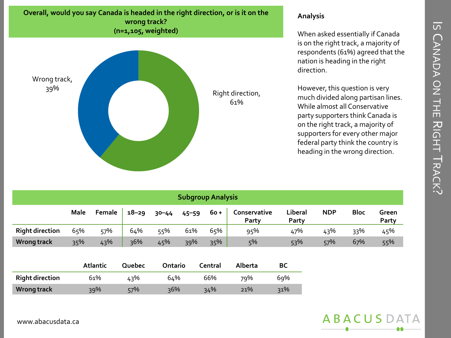# $\overline{\mathsf{S}}$  $\bigcap$ ANADA  $\frac{\textstyle \mathsf{O}}{\textstyle \mathsf{Z}}$ THE ス IGHT  $\equiv$ RACK

 $\ddot{\sim}$ 

#### **Overall, would you say Canada is headed in the right direction, or is it on the wrong track? (n=1,105, weighted)**



#### **Analysis**

When asked essentially if Canada is on the right track, a majority of respondents (61%) agreed that the nation is heading in the right direction.

However, this question is very much divided along partisan lines. While almost all Conservative party supporters think Canada is on the right track, a majority of supporters for every other major federal party think the country is heading in the wrong direction.

| <b>Subgroup Analysis</b> |             |        |           |           |           |        |                       |                  |            |             |                |
|--------------------------|-------------|--------|-----------|-----------|-----------|--------|-----------------------|------------------|------------|-------------|----------------|
|                          | <b>Male</b> | Female | $18 - 29$ | $30 - 44$ | $45 - 59$ | $60 +$ | Conservative<br>Party | Liberal<br>Party | <b>NDP</b> | <b>Bloc</b> | Green<br>Party |
| <b>Right direction</b>   | 65%         | 57%    | 64%       | 55%       | 61%       | 65%    | 95%                   | 47%              | 43%        | 33%         | 45%            |
| Wrong track              | 35%         | 43%    | 36%       | 45%       | 39%       | 35%    | 5%                    | 53%              | 57%        | 67%         | 55%            |

|                        | <b>Atlantic</b> | Quebec | Ontario | Central | Alberta | ВC  |
|------------------------|-----------------|--------|---------|---------|---------|-----|
| <b>Right direction</b> | 61%             | 43%    | 64%     | 66%     | 79%     | 69% |
| Wrong track            | $39\%$          | 57%    | $36\%$  | 34%     | 21%     | 31% |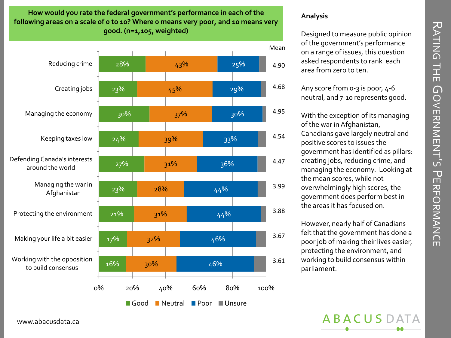入 ATING THE  $\,\Omega$ OVERNAME<br>OVERNAME ທັ  $\overline{\phantom{a}}$ ERFORMANCE

**How would you rate the federal government's performance in each of the following areas on a scale of 0 to 10? Where 0 means very poor, and 10 means very good. (n=1,105, weighted)**



#### **Analysis**

Designed to measure public opinion of the government's performance on a range of issues, this question asked respondents to rank each area from zero to ten.

Any score from 0-3 is poor, 4-6 neutral, and 7-10 represents good.

With the exception of its managing of the war in Afghanistan, Canadians gave largely neutral and positive scores to issues the government has identified as pillars: creating jobs, reducing crime, and managing the economy. Looking at the mean scores, while not overwhelmingly high scores, the government does perform best in the areas it has focused on.

However, nearly half of Canadians felt that the government has done a poor job of making their lives easier, protecting the environment, and working to build consensus within parliament.

**ABACUSD** 

www.abacusdata.ca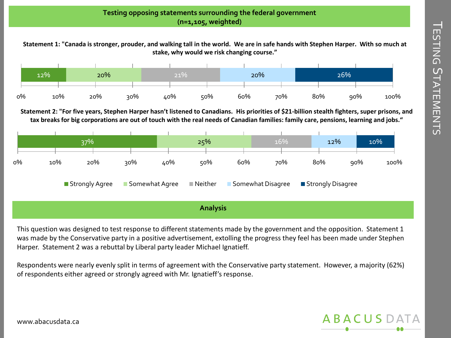#### **Testing opposing statements surrounding the federal government (n=1,105, weighted)**

**Statement 1: "Canada is stronger, prouder, and walking tall in the world. We are in safe hands with Stephen Harper. With so much at stake, why would we risk changing course."**



**Statement 2: "For five years, Stephen Harper hasn't listened to Canadians. His priorities of \$21-billion stealth fighters, super prisons, and tax breaks for big corporations are out of touch with the real needs of Canadian families: family care, pensions, learning and jobs."**



**Analysis**

This question was designed to test response to different statements made by the government and the opposition. Statement 1 was made by the Conservative party in a positive advertisement, extolling the progress they feel has been made under Stephen Harper. Statement 2 was a rebuttal by Liberal party leader Michael Ignatieff.

Respondents were nearly evenly split in terms of agreement with the Conservative party statement. However, a majority (62%) of respondents either agreed or strongly agreed with Mr. Ignatieff's response.